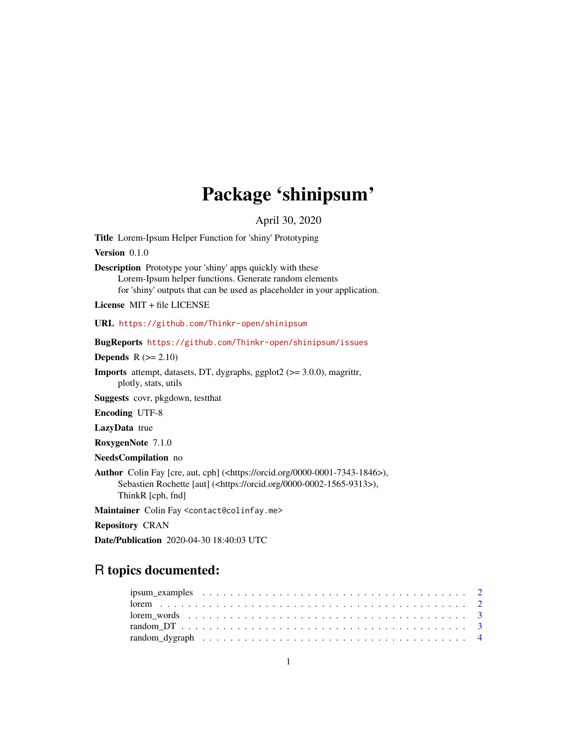## Package 'shinipsum'

April 30, 2020

Title Lorem-Ipsum Helper Function for 'shiny' Prototyping

Version 0.1.0

Description Prototype your 'shiny' apps quickly with these Lorem-Ipsum helper functions. Generate random elements for 'shiny' outputs that can be used as placeholder in your application.

License MIT + file LICENSE

URL <https://github.com/Thinkr-open/shinipsum>

BugReports <https://github.com/Thinkr-open/shinipsum/issues>

Depends  $R (= 2.10)$ 

Imports attempt, datasets, DT, dygraphs, ggplot2 (>= 3.0.0), magrittr, plotly, stats, utils

Suggests covr, pkgdown, testthat

Encoding UTF-8

LazyData true

RoxygenNote 7.1.0

NeedsCompilation no

Author Colin Fay [cre, aut, cph] (<https://orcid.org/0000-0001-7343-1846>), Sebastien Rochette [aut] (<https://orcid.org/0000-0002-1565-9313>), ThinkR [cph, fnd]

Maintainer Colin Fay <contact@colinfay.me>

Repository CRAN

Date/Publication 2020-04-30 18:40:03 UTC

## R topics documented: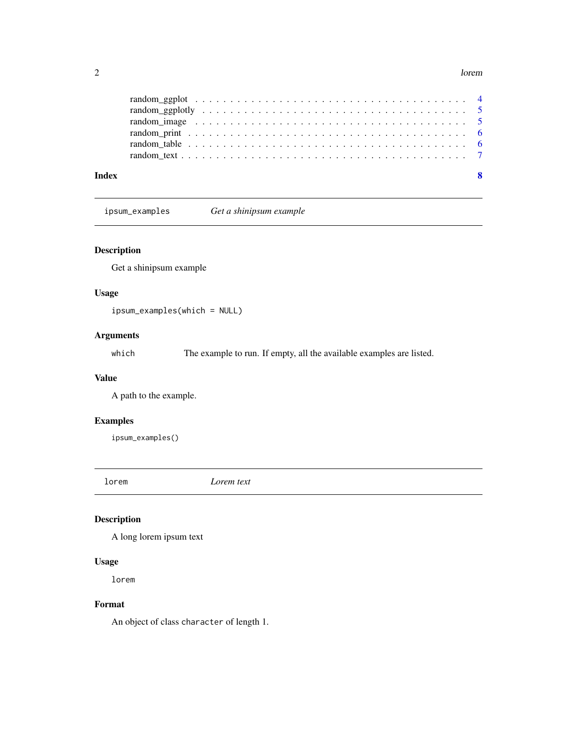#### <span id="page-1-0"></span> $2 \tlor$  lorem

| Index | $\mathbf{8}$ |
|-------|--------------|
|       |              |
|       |              |
|       |              |
|       |              |
|       |              |
|       |              |

ipsum\_examples *Get a shinipsum example*

#### Description

Get a shinipsum example

#### Usage

ipsum\_examples(which = NULL)

#### Arguments

which The example to run. If empty, all the available examples are listed.

#### Value

A path to the example.

#### Examples

ipsum\_examples()

lorem *Lorem text*

#### Description

A long lorem ipsum text

#### Usage

lorem

#### Format

An object of class character of length 1.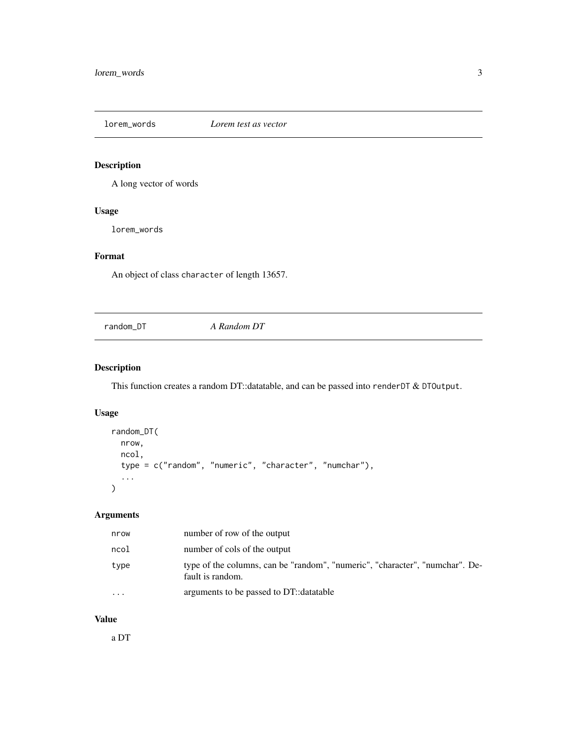<span id="page-2-0"></span>

#### Description

A long vector of words

#### Usage

lorem\_words

#### Format

An object of class character of length 13657.

random\_DT *A Random DT*

#### Description

This function creates a random DT::datatable, and can be passed into renderDT & DTOutput.

#### Usage

```
random_DT(
  nrow,
  ncol,
  type = c("random", "numeric", "character", "numchar"),
  ...
\mathcal{L}
```
#### Arguments

| nrow    | number of row of the output                                                                      |
|---------|--------------------------------------------------------------------------------------------------|
| ncol    | number of cols of the output                                                                     |
| type    | type of the columns, can be "random", "numeric", "character", "numchar". De-<br>fault is random. |
| $\cdot$ | arguments to be passed to DT::datatable                                                          |

#### Value

a DT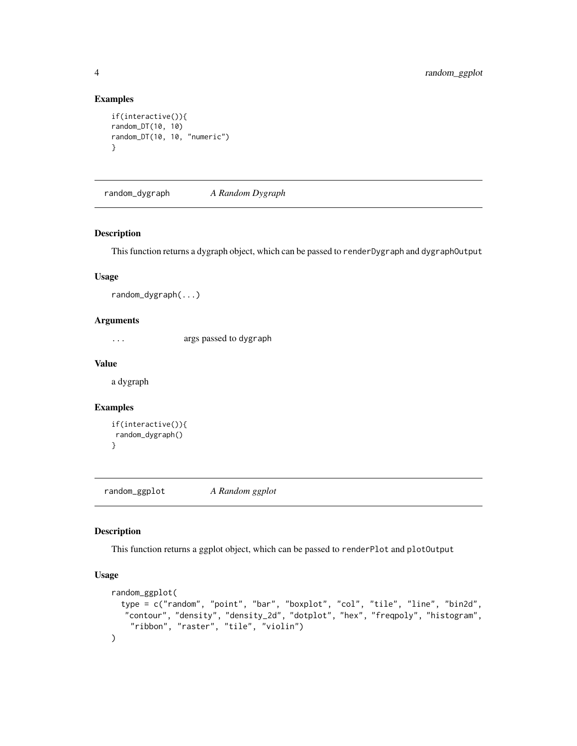#### Examples

```
if(interactive()){
random_DT(10, 10)
random_DT(10, 10, "numeric")
}
```
random\_dygraph *A Random Dygraph*

#### Description

This function returns a dygraph object, which can be passed to renderDygraph and dygraphOutput

#### Usage

```
random_dygraph(...)
```
#### Arguments

... args passed to dygraph

#### Value

a dygraph

#### Examples

```
if(interactive()){
random_dygraph()
}
```
random\_ggplot *A Random ggplot*

#### Description

This function returns a ggplot object, which can be passed to renderPlot and plotOutput

#### Usage

```
random_ggplot(
  type = c("random", "point", "bar", "boxplot", "col", "tile", "line", "bin2d",
   "contour", "density", "density_2d", "dotplot", "hex", "freqpoly", "histogram",
    "ribbon", "raster", "tile", "violin")
\mathcal{L}
```
<span id="page-3-0"></span>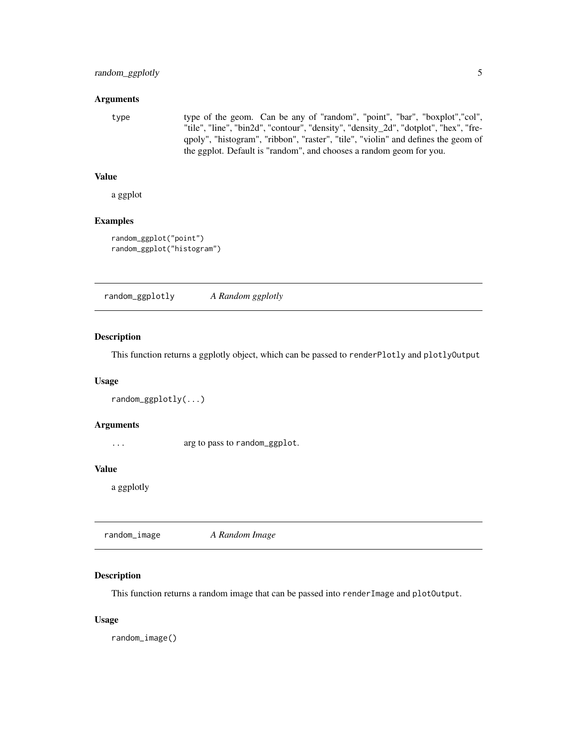#### <span id="page-4-0"></span>**Arguments**

type type of the geom. Can be any of "random", "point", "bar", "boxplot","col", "tile", "line", "bin2d", "contour", "density", "density\_2d", "dotplot", "hex", "freqpoly", "histogram", "ribbon", "raster", "tile", "violin" and defines the geom of the ggplot. Default is "random", and chooses a random geom for you.

#### Value

a ggplot

#### Examples

```
random_ggplot("point")
random_ggplot("histogram")
```
random\_ggplotly *A Random ggplotly*

#### Description

This function returns a ggplotly object, which can be passed to renderPlotly and plotlyOutput

#### Usage

```
random_ggplotly(...)
```
#### Arguments

... arg to pass to random\_ggplot.

#### Value

a ggplotly

|--|--|--|

#### Description

This function returns a random image that can be passed into renderImage and plotOutput.

#### Usage

random\_image()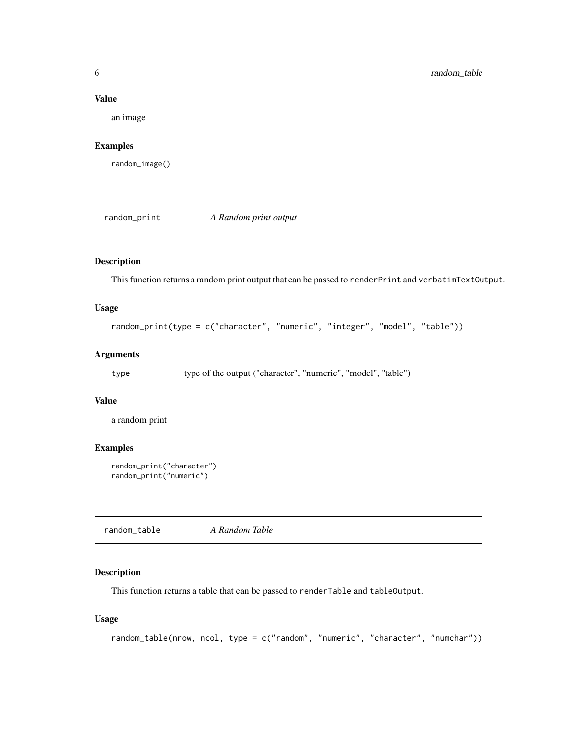#### <span id="page-5-0"></span>Value

an image

#### Examples

random\_image()

random\_print *A Random print output*

#### Description

This function returns a random print output that can be passed to renderPrint and verbatimTextOutput.

#### Usage

```
random_print(type = c("character", "numeric", "integer", "model", "table"))
```
#### Arguments

type type of the output ("character", "numeric", "model", "table")

#### Value

a random print

#### Examples

```
random_print("character")
random_print("numeric")
```
random\_table *A Random Table*

#### Description

This function returns a table that can be passed to renderTable and tableOutput.

#### Usage

```
random_table(nrow, ncol, type = c("random", "numeric", "character", "numchar"))
```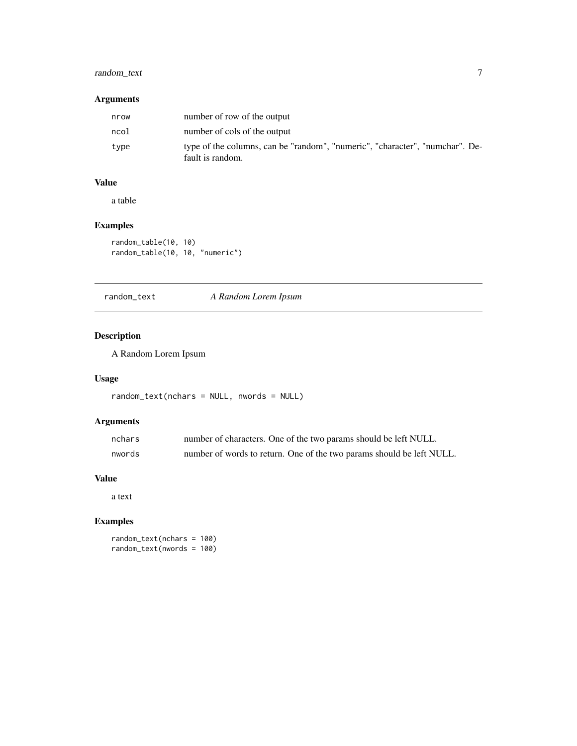#### <span id="page-6-0"></span>random\_text 7

#### Arguments

| nrow | number of row of the output                                                                      |
|------|--------------------------------------------------------------------------------------------------|
| ncol | number of cols of the output                                                                     |
| type | type of the columns, can be "random", "numeric", "character", "numchar". De-<br>fault is random. |

### Value

a table

#### Examples

```
random_table(10, 10)
random_table(10, 10, "numeric")
```
random\_text *A Random Lorem Ipsum*

#### Description

A Random Lorem Ipsum

#### Usage

```
random_text(nchars = NULL, nwords = NULL)
```
#### Arguments

| nchars | number of characters. One of the two params should be left NULL.      |
|--------|-----------------------------------------------------------------------|
| nwords | number of words to return. One of the two params should be left NULL. |

### Value

a text

#### Examples

random\_text(nchars = 100) random\_text(nwords = 100)